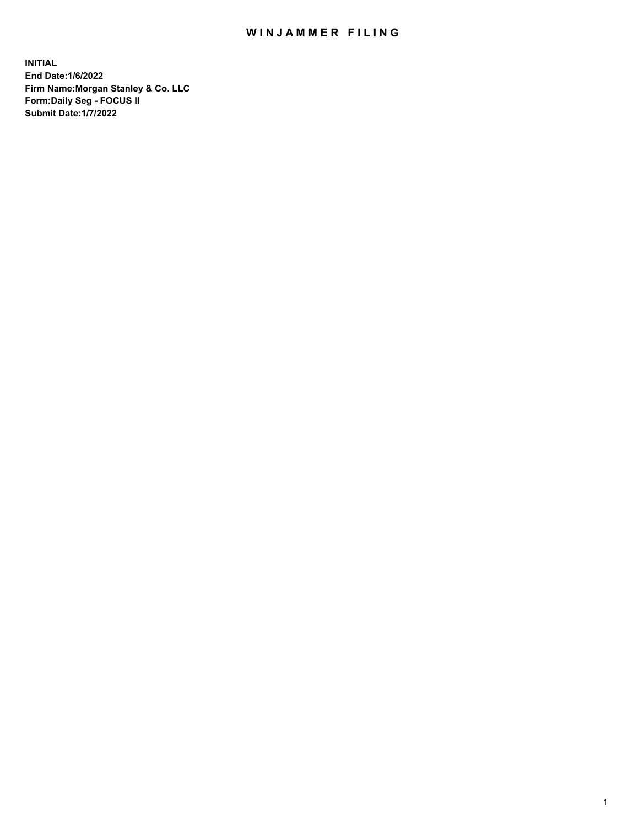## WIN JAMMER FILING

**INITIAL End Date:1/6/2022 Firm Name:Morgan Stanley & Co. LLC Form:Daily Seg - FOCUS II Submit Date:1/7/2022**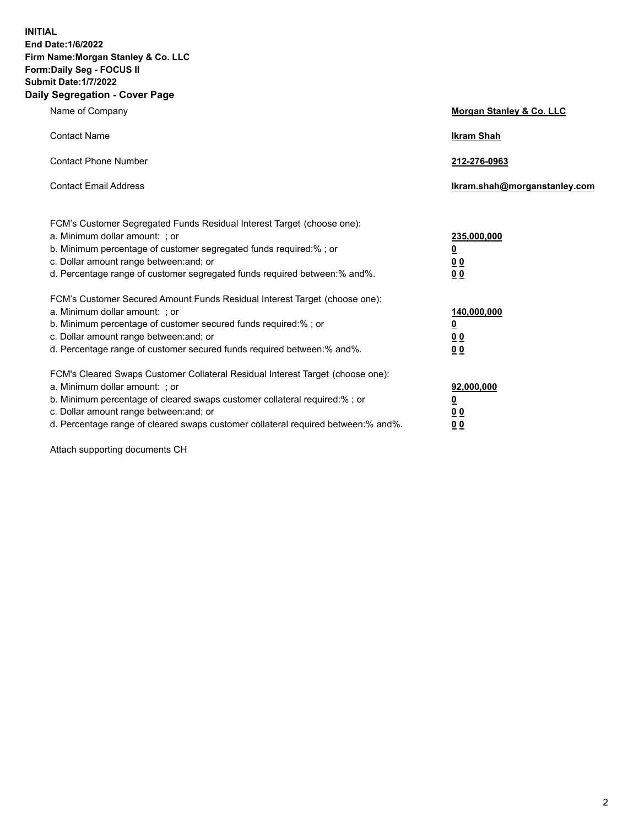**INITIAL End Date:1/6/2022 Firm Name:Morgan Stanley & Co. LLC Form:Daily Seg - FOCUS II Submit Date:1/7/2022 Daily Segregation - Cover Page**

| Name of Company                                                                                                                                                                                                                                                                                                               | Morgan Stanley & Co. LLC                                                     |
|-------------------------------------------------------------------------------------------------------------------------------------------------------------------------------------------------------------------------------------------------------------------------------------------------------------------------------|------------------------------------------------------------------------------|
| <b>Contact Name</b>                                                                                                                                                                                                                                                                                                           | <b>Ikram Shah</b>                                                            |
| <b>Contact Phone Number</b>                                                                                                                                                                                                                                                                                                   | 212-276-0963                                                                 |
| <b>Contact Email Address</b>                                                                                                                                                                                                                                                                                                  | Ikram.shah@morganstanley.com                                                 |
| FCM's Customer Segregated Funds Residual Interest Target (choose one):<br>a. Minimum dollar amount: ; or<br>b. Minimum percentage of customer segregated funds required:% ; or<br>c. Dollar amount range between: and; or<br>d. Percentage range of customer segregated funds required between: % and %.                      | 235,000,000<br><u>0</u><br><u>00</u><br>0 Q                                  |
| FCM's Customer Secured Amount Funds Residual Interest Target (choose one):<br>a. Minimum dollar amount: ; or<br>b. Minimum percentage of customer secured funds required:%; or<br>c. Dollar amount range between: and; or<br>d. Percentage range of customer secured funds required between:% and%.                           | 140,000,000<br><u>0</u><br>$\underline{0}$ $\underline{0}$<br>0 <sup>0</sup> |
| FCM's Cleared Swaps Customer Collateral Residual Interest Target (choose one):<br>a. Minimum dollar amount: ; or<br>b. Minimum percentage of cleared swaps customer collateral required:%; or<br>c. Dollar amount range between: and; or<br>d. Percentage range of cleared swaps customer collateral required between:% and%. | 92,000,000<br><u>0</u><br><u>00</u><br>00                                    |

Attach supporting documents CH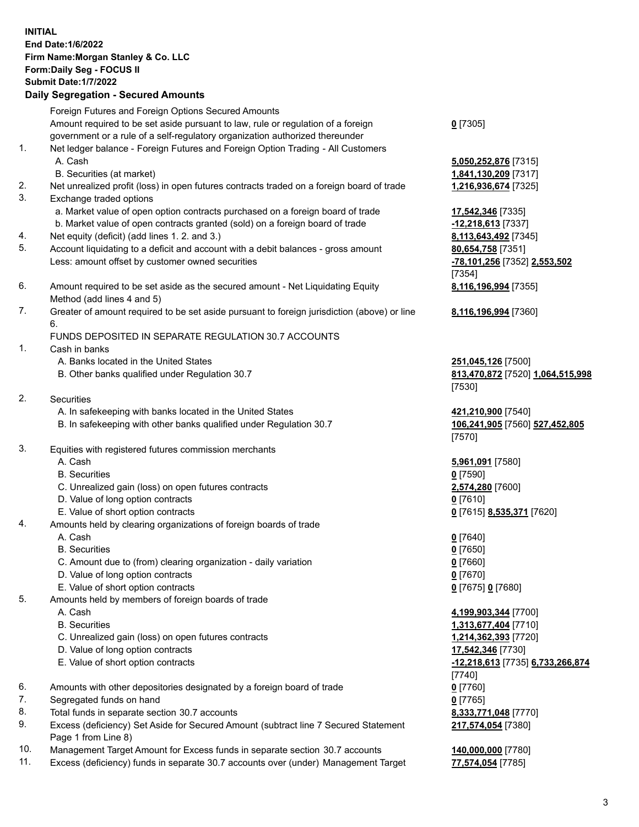|          | <b>INITIAL</b><br>End Date: 1/6/2022<br>Firm Name: Morgan Stanley & Co. LLC<br>Form: Daily Seg - FOCUS II<br><b>Submit Date: 1/7/2022</b><br><b>Daily Segregation - Secured Amounts</b> |                                                   |
|----------|-----------------------------------------------------------------------------------------------------------------------------------------------------------------------------------------|---------------------------------------------------|
|          | Foreign Futures and Foreign Options Secured Amounts                                                                                                                                     |                                                   |
|          | Amount required to be set aside pursuant to law, rule or regulation of a foreign<br>government or a rule of a self-regulatory organization authorized thereunder                        | $0$ [7305]                                        |
| 1.       | Net ledger balance - Foreign Futures and Foreign Option Trading - All Customers<br>A. Cash                                                                                              | 5,050,252,876 [7315]                              |
|          | B. Securities (at market)                                                                                                                                                               | 1,841,130,209 [7317]                              |
| 2.<br>3. | Net unrealized profit (loss) in open futures contracts traded on a foreign board of trade<br>Exchange traded options                                                                    | 1,216,936,674 [7325]                              |
|          | a. Market value of open option contracts purchased on a foreign board of trade                                                                                                          | 17,542,346 [7335]                                 |
|          | b. Market value of open contracts granted (sold) on a foreign board of trade                                                                                                            | $-12,218,613$ [7337]                              |
| 4.       | Net equity (deficit) (add lines 1. 2. and 3.)                                                                                                                                           | 8,113,643,492 [7345]                              |
| 5.       | Account liquidating to a deficit and account with a debit balances - gross amount<br>Less: amount offset by customer owned securities                                                   | 80,654,758 [7351]<br>-78,101,256 [7352] 2,553,502 |
|          |                                                                                                                                                                                         | [7354]                                            |
| 6.       | Amount required to be set aside as the secured amount - Net Liquidating Equity                                                                                                          | 8,116,196,994 [7355]                              |
|          | Method (add lines 4 and 5)                                                                                                                                                              |                                                   |
| 7.       | Greater of amount required to be set aside pursuant to foreign jurisdiction (above) or line<br>6.                                                                                       | 8,116,196,994 [7360]                              |
|          | FUNDS DEPOSITED IN SEPARATE REGULATION 30.7 ACCOUNTS                                                                                                                                    |                                                   |
| 1.       | Cash in banks                                                                                                                                                                           |                                                   |
|          | A. Banks located in the United States                                                                                                                                                   | 251,045,126 [7500]                                |
|          | B. Other banks qualified under Regulation 30.7                                                                                                                                          | 813,470,872 [7520] 1,064,515,998<br>[7530]        |
| 2.       | Securities                                                                                                                                                                              |                                                   |
|          | A. In safekeeping with banks located in the United States                                                                                                                               | 421,210,900 [7540]                                |
|          | B. In safekeeping with other banks qualified under Regulation 30.7                                                                                                                      | 106,241,905 [7560] 527,452,805<br>[7570]          |
| 3.       | Equities with registered futures commission merchants                                                                                                                                   |                                                   |
|          | A. Cash                                                                                                                                                                                 | 5,961,091 [7580]                                  |
|          | <b>B.</b> Securities                                                                                                                                                                    | <u>0</u> [7590]                                   |
|          | C. Unrealized gain (loss) on open futures contracts                                                                                                                                     | 2,574,280 [7600]                                  |
|          | D. Value of long option contracts                                                                                                                                                       | $0$ [7610]                                        |
|          | E. Value of short option contracts                                                                                                                                                      | 0 [7615] 8,535,371 [7620]                         |
| 4.       | Amounts held by clearing organizations of foreign boards of trade                                                                                                                       |                                                   |
|          | A. Cash                                                                                                                                                                                 | $0$ [7640]                                        |
|          | <b>B.</b> Securities                                                                                                                                                                    | $0$ [7650]                                        |
|          | C. Amount due to (from) clearing organization - daily variation                                                                                                                         | $0$ [7660]                                        |
|          | D. Value of long option contracts                                                                                                                                                       | $0$ [7670]                                        |
| 5.       | E. Value of short option contracts<br>Amounts held by members of foreign boards of trade                                                                                                | 0 [7675] 0 [7680]                                 |
|          | A. Cash                                                                                                                                                                                 | 4,199,903,344 [7700]                              |
|          | <b>B.</b> Securities                                                                                                                                                                    | 1,313,677,404 [7710]                              |
|          | C. Unrealized gain (loss) on open futures contracts                                                                                                                                     | 1,214,362,393 [7720]                              |
|          | D. Value of long option contracts                                                                                                                                                       | 17,542,346 [7730]                                 |
|          | E. Value of short option contracts                                                                                                                                                      | -12,218,613 [7735] 6,733,266,874                  |
|          |                                                                                                                                                                                         | $[7740]$                                          |
| 6.       | Amounts with other depositories designated by a foreign board of trade                                                                                                                  | $0$ [7760]                                        |
| 7.       | Segregated funds on hand                                                                                                                                                                | $0$ [7765]                                        |
| 8.       | Total funds in separate section 30.7 accounts                                                                                                                                           | 8,333,771,048 [7770]                              |
| 9.       | Excess (deficiency) Set Aside for Secured Amount (subtract line 7 Secured Statement<br>Page 1 from Line 8)                                                                              | 217,574,054 [7380]                                |

- 10. Management Target Amount for Excess funds in separate section 30.7 accounts **140,000,000** [7780]
- 11. Excess (deficiency) funds in separate 30.7 accounts over (under) Management Target **77,574,054** [7785]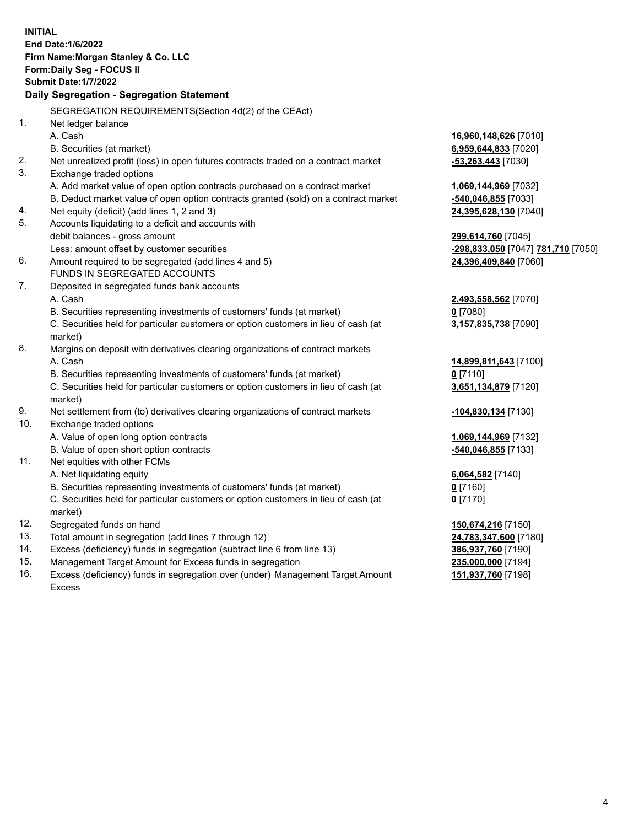| <b>INITIAL</b> | End Date: 1/6/2022<br>Firm Name: Morgan Stanley & Co. LLC<br>Form: Daily Seg - FOCUS II<br><b>Submit Date: 1/7/2022</b><br>Daily Segregation - Segregation Statement |                                    |
|----------------|----------------------------------------------------------------------------------------------------------------------------------------------------------------------|------------------------------------|
|                | SEGREGATION REQUIREMENTS(Section 4d(2) of the CEAct)                                                                                                                 |                                    |
| 1.             | Net ledger balance                                                                                                                                                   |                                    |
|                | A. Cash                                                                                                                                                              | 16,960,148,626 [7010]              |
|                | B. Securities (at market)                                                                                                                                            | 6,959,644,833 [7020]               |
| 2.             | Net unrealized profit (loss) in open futures contracts traded on a contract market                                                                                   | $-53,263,443$ [7030]               |
| 3.             | Exchange traded options                                                                                                                                              |                                    |
|                | A. Add market value of open option contracts purchased on a contract market                                                                                          | 1,069,144,969 [7032]               |
|                | B. Deduct market value of open option contracts granted (sold) on a contract market                                                                                  | -540,046,855 [7033]                |
| 4.             | Net equity (deficit) (add lines 1, 2 and 3)                                                                                                                          | 24,395,628,130 [7040]              |
| 5.             | Accounts liquidating to a deficit and accounts with                                                                                                                  |                                    |
|                | debit balances - gross amount                                                                                                                                        | 299,614,760 [7045]                 |
|                | Less: amount offset by customer securities                                                                                                                           | -298,833,050 [7047] 781,710 [7050] |
| 6.             | Amount required to be segregated (add lines 4 and 5)                                                                                                                 | 24,396,409,840 [7060]              |
|                | FUNDS IN SEGREGATED ACCOUNTS                                                                                                                                         |                                    |
| 7.             | Deposited in segregated funds bank accounts                                                                                                                          |                                    |
|                | A. Cash                                                                                                                                                              | 2,493,558,562 [7070]               |
|                | B. Securities representing investments of customers' funds (at market)                                                                                               | $0$ [7080]                         |
|                | C. Securities held for particular customers or option customers in lieu of cash (at<br>market)                                                                       | 3,157,835,738 [7090]               |
| 8.             | Margins on deposit with derivatives clearing organizations of contract markets                                                                                       |                                    |
|                | A. Cash                                                                                                                                                              | 14,899,811,643 [7100]              |
|                | B. Securities representing investments of customers' funds (at market)                                                                                               | $0$ [7110]                         |
|                | C. Securities held for particular customers or option customers in lieu of cash (at<br>market)                                                                       | 3,651,134,879 [7120]               |
| 9.             | Net settlement from (to) derivatives clearing organizations of contract markets                                                                                      | -104,830,134 [7130]                |
| 10.            | Exchange traded options                                                                                                                                              |                                    |
|                | A. Value of open long option contracts                                                                                                                               | 1,069,144,969 [7132]               |
|                | B. Value of open short option contracts                                                                                                                              | -540,046,855 [7133]                |
| 11.            | Net equities with other FCMs                                                                                                                                         |                                    |
|                | A. Net liquidating equity                                                                                                                                            | 6,064,582 [7140]                   |
|                | B. Securities representing investments of customers' funds (at market)                                                                                               | $0$ [7160]                         |
|                | C. Securities held for particular customers or option customers in lieu of cash (at<br>market)                                                                       | $0$ [7170]                         |
| 12.            | Segregated funds on hand                                                                                                                                             | 150,674,216 [7150]                 |
| 13.            | Total amount in segregation (add lines 7 through 12)                                                                                                                 | 24,783,347,600 [7180]              |
| 14.            | Excess (deficiency) funds in segregation (subtract line 6 from line 13)                                                                                              | 386,937,760 [7190]                 |
| 15.            | Management Target Amount for Excess funds in segregation                                                                                                             | 235,000,000 [7194]                 |
|                |                                                                                                                                                                      |                                    |

16. Excess (deficiency) funds in segregation over (under) Management Target Amount Excess

**151,937,760** [7198]